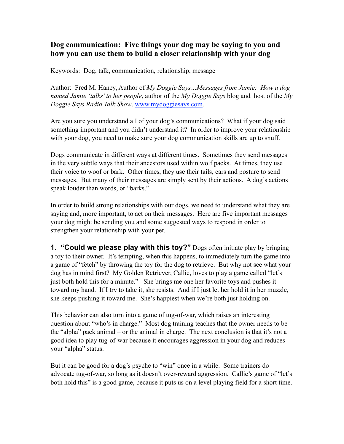## **Dog communication: Five things your dog may be saying to you and how you can use them to build a closer relationship with your dog**

Keywords: Dog, talk, communication, relationship, message

Author: Fred M. Haney, Author of *My Doggie Says…Messages from Jamie: How a dog named Jamie 'talks' to her people*, author of the *My Doggie Says* blog and host of the *My Doggie Says Radio Talk Show*. [www.mydoggiesays.com.](http://www.mydoggiesays.com)

Are you sure you understand all of your dog's communications? What if your dog said something important and you didn't understand it? In order to improve your relationship with your dog, you need to make sure your dog communication skills are up to snuff.

Dogs communicate in different ways at different times. Sometimes they send messages in the very subtle ways that their ancestors used within wolf packs. At times, they use their voice to woof or bark. Other times, they use their tails, ears and posture to send messages. But many of their messages are simply sent by their actions. A dog's actions speak louder than words, or "barks."

In order to build strong relationships with our dogs, we need to understand what they are saying and, more important, to act on their messages. Here are five important messages your dog might be sending you and some suggested ways to respond in order to strengthen your relationship with your pet.

**1. "Could we please play with this toy?"** Dogs often initiate play by bringing a toy to their owner. It's tempting, when this happens, to immediately turn the game into a game of "fetch" by throwing the toy for the dog to retrieve. But why not see what your dog has in mind first? My Golden Retriever, Callie, loves to play a game called "let's just both hold this for a minute." She brings me one her favorite toys and pushes it toward my hand. If I try to take it, she resists. And if I just let her hold it in her muzzle, she keeps pushing it toward me. She's happiest when we're both just holding on.

This behavior can also turn into a game of tug-of-war, which raises an interesting question about "who's in charge." Most dog training teaches that the owner needs to be the "alpha" pack animal – or the animal in charge. The next conclusion is that it's not a good idea to play tug-of-war because it encourages aggression in your dog and reduces your "alpha" status.

But it can be good for a dog's psyche to "win" once in a while. Some trainers do advocate tug-of-war, so long as it doesn't over-reward aggression. Callie's game of "let's both hold this" is a good game, because it puts us on a level playing field for a short time.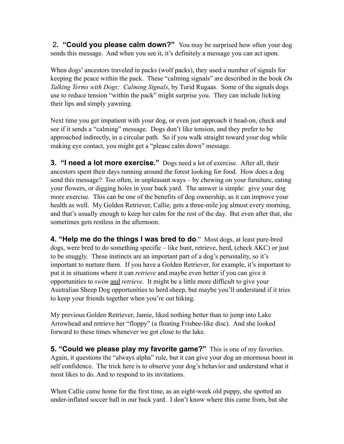2**. "Could you please calm down?"** You may be surprised how often your dog sends this message. And when you see it, it's definitely a message you can act upon.

When dogs' ancestors traveled in packs (wolf packs), they used a number of signals for keeping the peace within the pack. These "calming signals" are described in the book *On Talking Terms with Dogs: Calming Signals*, by Turid Rugaas. Some of the signals dogs use to reduce tension "within the pack" might surprise you. They can include licking their lips and simply yawning.

Next time you get impatient with your dog, or even just approach it head-on, check and see if it sends a "calming" message. Dogs don't like tension, and they prefer to be approached indirectly, in a circular path. So if you walk straight toward your dog while making eye contact, you might get a "please calm down" message.

**3. "I need a lot more exercise."** Dogs need a lot of exercise. After all, their ancestors spent their days running around the forest looking for food. How does a dog send this message? Too often, in unpleasant ways – by chewing on your furniture, eating your flowers, or digging holes in your back yard. The answer is simple: give your dog more exercise. This can be one of the benefits of dog ownership, as it can improve your health as well. My Golden Retriever, Callie, gets a three-mile jog almost every morning, and that's usually enough to keep her calm for the rest of the day. But even after that, she sometimes gets restless in the afternoon.

**4. "Help me do the things I was bred to do**." Most dogs, at least pure-bred dogs, were bred to do something specific – like hunt, retrieve, herd, (check AKC) or just to be snuggly. These instincts are an important part of a dog's personality, so it's important to nurture them. If you have a Golden Retriever, for example, it's important to put it in situations where it can *retrieve* and maybe even better if you can give it opportunities to *swim* and *retrieve*. It might be a little more difficult to give your Australian Sheep Dog opportunities to herd sheep, but maybe you'll understand if it tries to keep your friends together when you're out hiking.

My previous Golden Retriever, Jamie, liked nothing better than to jump into Lake Arrowhead and retrieve her "floppy" (a floating Frisbee-like disc). And she looked forward to these times whenever we got close to the lake.

**5. "Could we please play my favorite game?"** This is one of my favorites. Again, it questions the "always alpha" rule, but it can give your dog an enormous boost in self confidence. The trick here is to observe your dog's behavior and understand what it most likes to do. And to respond to its invitations.

When Callie came home for the first time, as an eight-week old puppy, she spotted an under-inflated soccer ball in our back yard. I don't know where this came from, but she